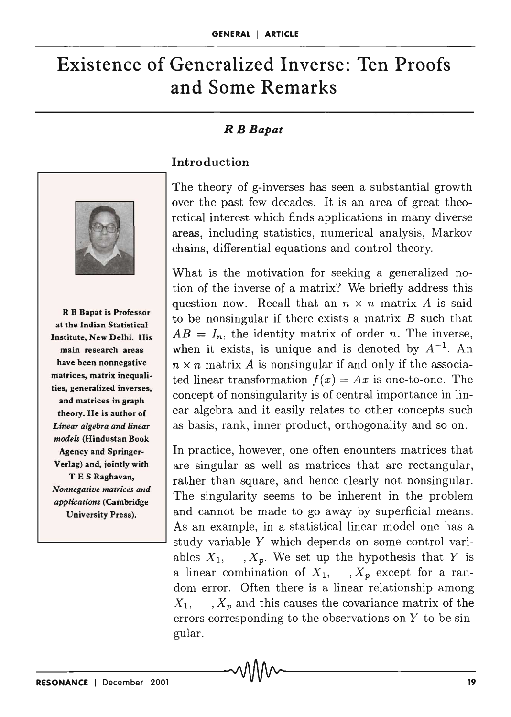# **Existence of Generalized Inverse: Ten Proofs and Some Remarks**

## *R B Bapat*





R B Bapat is Professor at the Indian Statistical Institute, New Delhi. His main research areas have been nonnegative matrices, matrix inequalities, generalized inverses, and matrices in graph theory. He is author of *Linear algebra and linear models* (Hindustan Book Agency and Springer-Verlag) and, jointly with T E S Raghavan, *Nonnegative matrices and applications* (Cambridge University Press).

The theory of g-inverses has seen a substantial growth over the past few decades. It is an area of great theoretical interest which finds applications in many diverse areas, including statistics, numerical analysis, Markov chains, differential equations and control theory.

What is the motivation for seeking a generalized notion of the inverse of a matrix? We briefly address this question now. Recall that an  $n \times n$  matrix A is said to be nonsingular if there exists a matrix *B* such that  $AB = I_n$ , the identity matrix of order *n*. The inverse, when it exists, is unique and is denoted by  $A^{-1}$ . An  $n \times n$  matrix *A* is nonsingular if and only if the associated linear transformation  $f(x) = Ax$  is one-to-one. The concept of nonsingularity is of central importance in linear algebra and it easily relates to other concepts such as basis, rank, inner product, orthogonality and so on.

In practice, however, one often enounters matrices that are singular as well as matrices that are rectangular, rather than square, and hence clearly not nonsingular. The singularity seems to be inherent in the problem and cannot be made to go away by superficial means. As an example, in a statistical linear model one has a study variable Y which depends on some control variables  $X_1$ , ,  $X_p$ . We set up the hypothesis that Y is a linear combination of  $X_1$ , ,  $X_p$  except for a random error. Often there is a linear relationship among  $X_1, \ldots, X_p$  and this causes the covariance matrix of the errors corresponding to the observations on Y to be singular.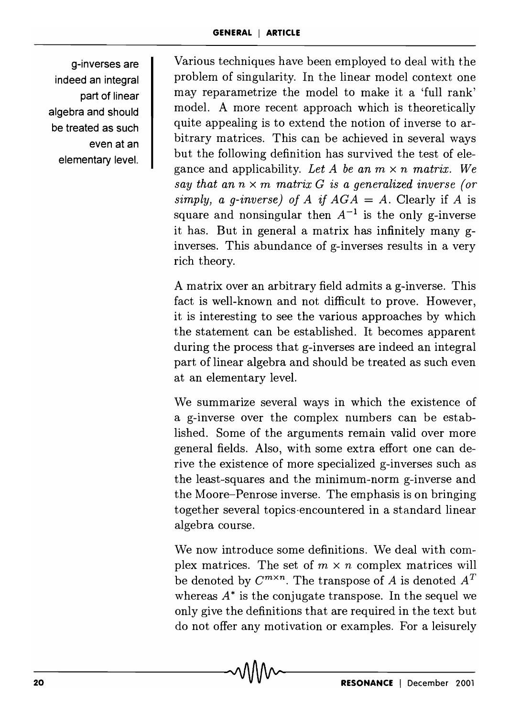g-inverses are indeed an integral part of linear algebra and should be treated as such even at an elementary level.

Various techniques have been employed to deal with the problem of singularity. In the linear model context one may reparametrize the model to make it a 'full rank' model. A more recent approach which is theoretically quite appealing is to extend the notion of inverse to arbitrary matrices. This can be achieved in several ways but the following definition has survived the test of elegance and applicability. Let A be an  $m \times n$  matrix. We *say that an*  $n \times m$  *matrix G is a generalized inverse (or simply, a g-inverse) of A if*  $AGA = A$ *. Clearly if A is* square and nonsingular then  $A^{-1}$  is the only g-inverse it has. But in general a matrix has infinitely many ginverses. This abundance of g-inverses results in a very rich theory.

A matrix over an arbitrary field admits a g-inverse. This fact is well-known and not difficult to prove. However, it is interesting to see the various approaches by which the statement can be established. It becomes apparent during the process that g-inverses are indeed an integral part of linear algebra and should be treated as such even at an elementary level.

We summarize several ways in which the existence of a g-inverse over the complex numbers can be established. Some of the arguments remain valid over more general fields. Also, with some extra effort one can derive the existence of more specialized g-inverses such as the least-squares and the minimum-norm g-inverse and the Moore-Penrose inverse. The emphasis is on bringing together several topics -encountered in a standard linear algebra course.

We now introduce some definitions. We deal with complex matrices. The set of  $m \times n$  complex matrices will be denoted by  $C^{m \times n}$ . The transpose of A is denoted  $A^T$ whereas  $A^*$  is the conjugate transpose. In the sequel we only give the definitions that are required in the text but do not offer any motivation or examples. For a leisurely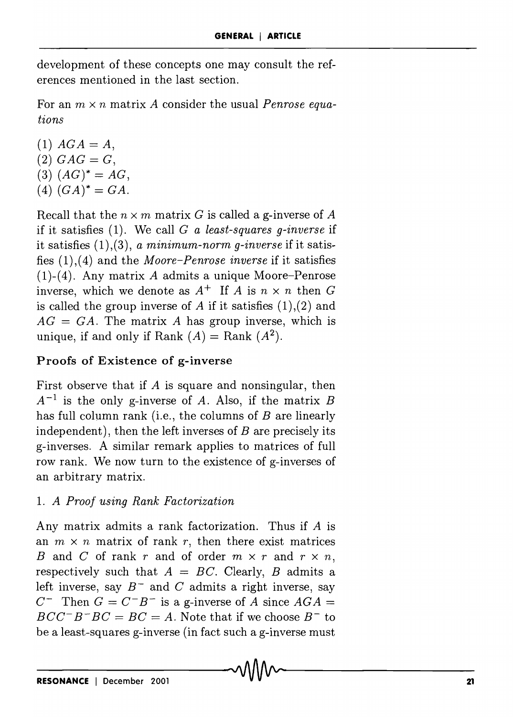development of these concepts one may consult the references mentioned in the last section.

For an m, x *n* matrix *A* consider the usual *Penrose equations* 

 $(1)$   $AGA = A$ ,  $(2)$   $GAG = G$ ,  $(3) (AG)^* = AG,$  $(4)$   $(GA)^* = GA$ .

Recall that the  $n \times m$  matrix G is called a g-inverse of A if it satisfies (1). We call G *a least-squares g-inverse* if it satisfies (1),(3), *a minimum-norm g-inverse* if it satisfies (1),(4) and the *Moore-Penrose inverse* if it satisfies (1)-(4). Any matrix *A* admits a unique Moore-Penrose inverse, which we denote as  $A^+$  If A is  $n \times n$  then G is called the group inverse of *A* if it satisfies (1),(2) and  $AG = GA$ . The matrix A has group inverse, which is unique, if and only if Rank  $(A)$  = Rank  $(A^2)$ .

# Proofs of Existence of g-inverse

First observe that if *A* is square and nonsingular, then  $A^{-1}$  is the only g-inverse of *A*. Also, if the matrix *B* has full column rank (i.e., the columns of *B* are linearly independent), then the left inverses of *B* are precisely its g-inverses. A similar remark applies to matrices of full row rank. We now turn to the existence of g-inverses of an arbitrary matrix.

## *1. A Proof using Rank Factorization*

Any matrix admits a rank factorization. Thus if *A* is an  $m \times n$  matrix of rank r, then there exist matrices B and C of rank r and of order  $m \times r$  and  $r \times n$ , respectively such that  $A = BC$ . Clearly, *B* admits a left inverse, say  $B^-$  and C admits a right inverse, say  $C^-$  Then  $G = C^-B^-$  is a g-inverse of A since  $AGA =$  $BCC^{-}B^{-}BC = BC = A$ . Note that if we choose  $B^{-}$  to be a least-squares g-inverse (in fact such a g-inverse must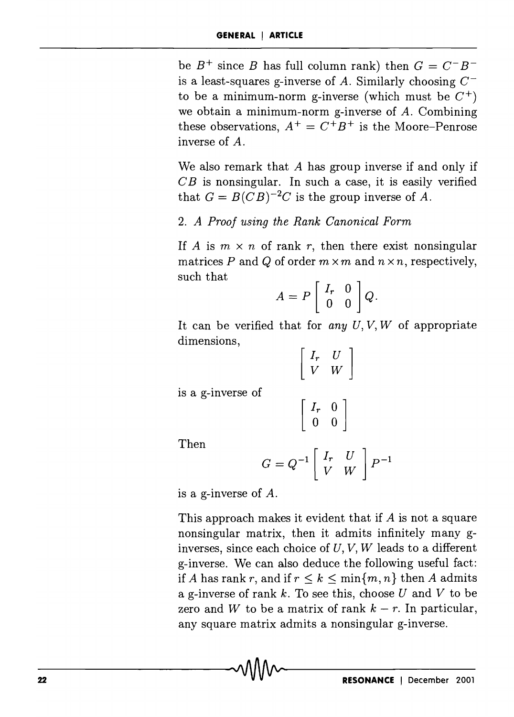be  $B^+$  since B has full column rank) then  $G = C^-B^$ is a least-squares g-inverse of A. Similarly choosing  $C^$ to be a minimum-norm g-inverse (which must be  $C^+$ ) we obtain a minimum-norm g-inverse of *A.* Combining these observations,  $A^+ = C^+B^+$  is the Moore-Penrose inverse of *A.* 

We also remark that A has group inverse if and only if  $CB$  is nonsingular. In such a case, it is easily verified that  $G = B(CB)^{-2}C$  is the group inverse of A.

#### *2. A Proof using the Rank Canonical Form*

If A is  $m \times n$  of rank r, then there exist nonsingular matrices P and Q of order  $m \times m$  and  $n \times n$ , respectively, such that

$$
A = P \left[ \begin{array}{cc} I_r & 0 \\ 0 & 0 \end{array} \right] Q.
$$

It can be verified that for *any U, V, W* of appropriate dimensions,

$$
\begin{bmatrix} I_r & U \\ V & W \end{bmatrix}
$$

is a g-inverse of

$$
\left[\begin{array}{cc} I_r & 0 \\ 0 & 0 \end{array}\right]
$$

Then

$$
G = Q^{-1} \left[ \begin{array}{cc} I_r & U \\ V & W \end{array} \right] P^{-1}
$$

is a g-inverse of *A.* 

This approach makes it evident that if *A* is not a square nonsingular matrix, then it admits infinitely many ginverses, since each choice of  $U, V, W$  leads to a different g-inverse. We can also deduce the following useful fact: if A has rank r, and if  $r \leq k \leq \min\{m, n\}$  then A admits a g-inverse of rank  $k$ . To see this, choose  $U$  and  $V$  to be zero and W to be a matrix of rank  $k - r$ . In particular, any square matrix admits a nonsingular g-inverse.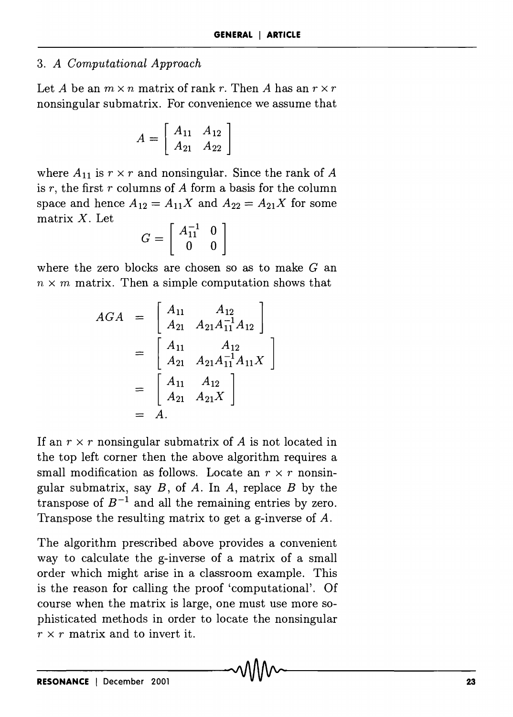#### *3. A Computational Approach*

Let *A* be an  $m \times n$  matrix of rank r. Then *A* has an  $r \times r$ nonsingular submatrix. For convenience we assume that

$$
A = \left[ \begin{array}{cc} A_{11} & A_{12} \\ A_{21} & A_{22} \end{array} \right]
$$

where  $A_{11}$  is  $r \times r$  and nonsingular. Since the rank of A is *r,* the first *r* columns of *A* form a basis for the column space and hence  $A_{12} = A_{11}X$  and  $A_{22} = A_{21}X$  for some matrix  $X$ . Let

$$
G = \left[ \begin{array}{cc} A_{11}^{-1} & 0 \\ 0 & 0 \end{array} \right]
$$

where the zero blocks are chosen so as to make  $G$  an  $n \times m$  matrix. Then a simple computation shows that

$$
AGA = \begin{bmatrix} A_{11} & A_{12} \\ A_{21} & A_{21}A_{11}^{-1}A_{12} \end{bmatrix}
$$
  
= 
$$
\begin{bmatrix} A_{11} & A_{12} \\ A_{21} & A_{21}A_{11}^{-1}A_{11}X \end{bmatrix}
$$
  
= 
$$
\begin{bmatrix} A_{11} & A_{12} \\ A_{21} & A_{21}X \end{bmatrix}
$$
  
= A.

If an  $r \times r$  nonsingular submatrix of *A* is not located in the top left corner then the above algorithm requires a small modification as follows. Locate an  $r \times r$  nonsingular submatrix, say *B,* of *A.* In *A,* replace *B* by the transpose of  $B^{-1}$  and all the remaining entries by zero. Transpose the resulting matrix to get a g-inverse of *A.* 

The algorithm prescribed above provides a convenient way to calculate the g-inverse of a matrix of a small order which might arise in a classroom example. This is the reason for calling the proof 'computational'. Of course when the matrix is large, one must use more sophisticated methods in order to locate the nonsingular  $r \times r$  matrix and to invert it.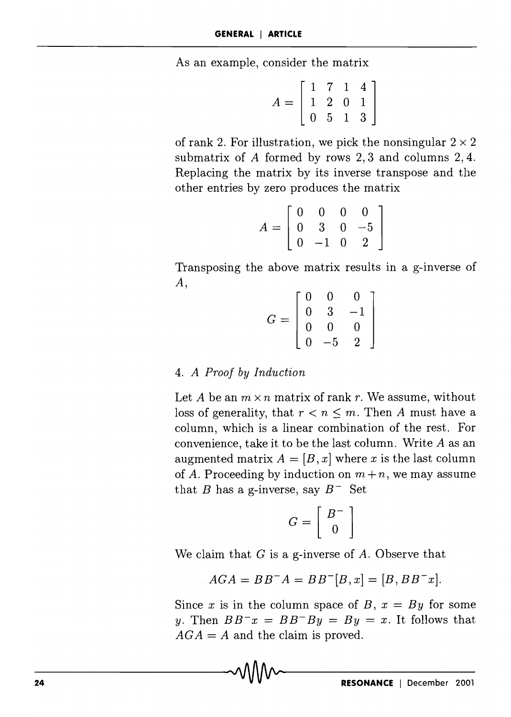As an example, consider the matrix

$$
A = \left[ \begin{array}{rrr} 1 & 7 & 1 & 4 \\ 1 & 2 & 0 & 1 \\ 0 & 5 & 1 & 3 \end{array} \right]
$$

of rank 2. For illustration, we pick the nonsingular  $2 \times 2$ submatrix of A formed by rows 2, 3 and columns 2, 4. Replacing the matrix by its inverse transpose and the other entries by zero produces the matrix

$$
A = \left[ \begin{array}{rrrr} 0 & 0 & 0 & 0 \\ 0 & 3 & 0 & -5 \\ 0 & -1 & 0 & 2 \end{array} \right]
$$

Transposing the above matrix results in a g-inverse of A,

$$
G = \left[ \begin{array}{rrr} 0 & 0 & 0 \\ 0 & 3 & -1 \\ 0 & 0 & 0 \\ 0 & -5 & 2 \end{array} \right]
$$

#### *4. A Proof by Induction*

 $\sim$ 

Let *A* be an  $m \times n$  matrix of rank *r*. We assume, without loss of generality, that  $r < n \leq m$ . Then *A* must have a column, which is a linear combination of the rest. For convenience, take it to be the last column. Write *A* as an augmented matrix  $A = [B, x]$  where x is the last column of *A*. Proceeding by induction on  $m + n$ , we may assume that B has a g-inverse, say  $B^-$  Set

$$
G = \left[ \begin{array}{c} B^- \\ 0 \end{array} \right]
$$

We claim that *G* is a g-inverse of *A.* Observe that

$$
AGA = BB^{-}A = BB^{-}[B, x] = [B, BB^{-}x].
$$

Since *x* is in the column space of *B*,  $x = By$  for some *y*. Then  $BB^-x = BB^-By = By = x$ . It follows that  $AGA = A$  and the claim is proved.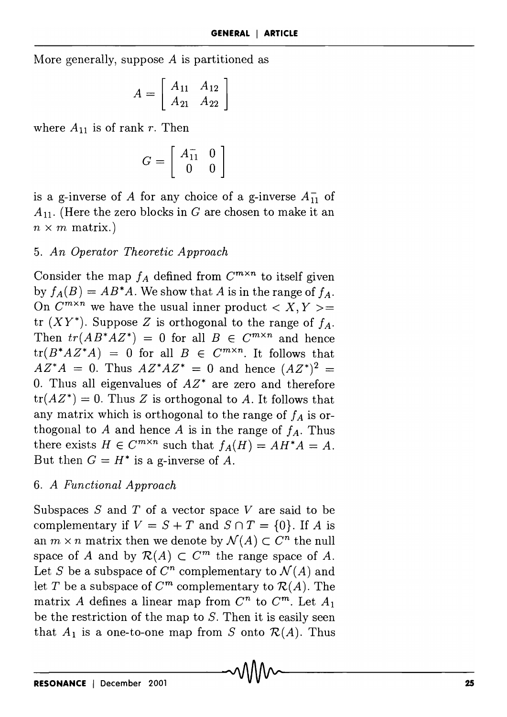More generally, suppose A is partitioned as

$$
A = \left[ \begin{array}{cc} A_{11} & A_{12} \\ A_{21} & A_{22} \end{array} \right]
$$

where  $A_{11}$  is of rank *r*. Then

$$
G = \left[ \begin{array}{cc} A_{11}^- & 0 \\ 0 & 0 \end{array} \right]
$$

is a g-inverse of A for any choice of a g-inverse  $A_{11}^-$  of  $A_{11}$ . (Here the zero blocks in G are chosen to make it an  $n \times m$  matrix.)

## **5.** An Operator Theoretic Approach

Consider the map  $f_A$  defined from  $C^{m \times n}$  to itself given by  $f_A(B) = AB^*A$ . We show that A is in the range of  $f_A$ . On  $C^{m \times n}$  we have the usual inner product  $\langle X, Y \rangle =$ tr  $(XY^*)$ . Suppose Z is orthogonal to the range of  $f_A$ . Then  $tr(AB^*AZ^*) = 0$  for all  $B \in C^{m \times n}$  and hence  $tr(B^*A Z^*A) = 0$  for all  $B \in C^{m \times n}$ . It follows that  $AZ^*A = 0$ . Thus  $AZ^*AZ^* = 0$  and hence  $(AZ^*)^2 =$ 0. Thus all eigenvalues of  $AZ^*$  are zero and therefore  $tr(AZ^*) = 0$ . Thus Z is orthogonal to A. It follows that any matrix which is orthogonal to the range of  $f_A$  is orthogonal to  $A$  and hence  $A$  is in the range of  $f_A$ . Thus there exists  $H \in C^{m \times n}$  such that  $f_A(H) = AH^*A = A$ . But then  $G = H^*$  is a g-inverse of A.

## *6. A Functional Approach*

Subspaces  $S$  and  $T$  of a vector space  $V$  are said to be complementary if  $V = S + T$  and  $S \cap T = \{0\}$ . If *A* is an  $m \times n$  matrix then we denote by  $\mathcal{N}(A) \subset C^n$  the null space of A and by  $\mathcal{R}(A) \subset C^m$  the range space of A. Let *S* be a subspace of  $C^n$  complementary to  $\mathcal{N}(A)$  and let T be a subspace of  $C^m$  complementary to  $\mathcal{R}(A)$ . The matrix A defines a linear map from  $C^n$  to  $C^m$ . Let  $A_1$ be the restriction of the map to  $S$ . Then it is easily seen that  $A_1$  is a one-to-one map from S onto  $\mathcal{R}(A)$ . Thus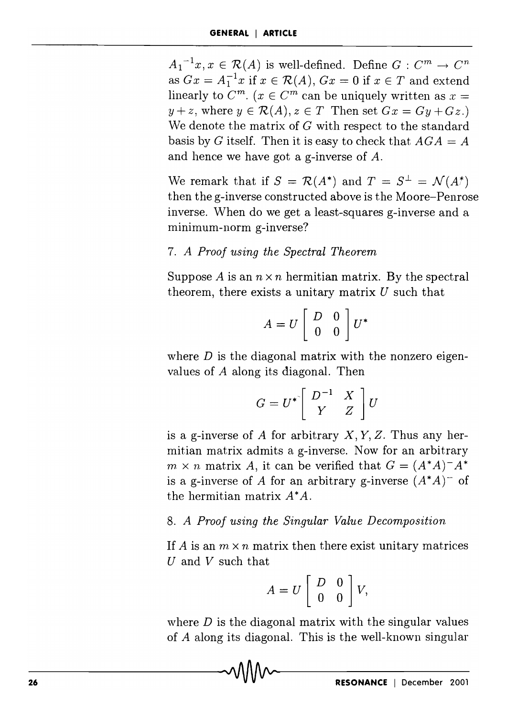$A_1^{-1}x, x \in \mathcal{R}(A)$  is well-defined. Define  $G: C^m \to C^n$ as  $Gx = A_1^{-1}x$  if  $x \in \mathcal{R}(A)$ ,  $Gx = 0$  if  $x \in T$  and extend linearly to  $C^m$ .  $(x \in C^m$  can be uniquely written as  $x =$  $y + z$ , where  $y \in \mathcal{R}(A), z \in T$  Then set  $Gx = Gy + Gz$ . We denote the matrix of  $G$  with respect to the standard basis by *G* itself. Then it is easy to check that  $AGA = A$ and hence we have got a g-inverse of A.

We remark that if  $S = \mathcal{R}(A^*)$  and  $T = S^{\perp} = \mathcal{N}(A^*)$ then the g-inverse constructed above is the Moore-Penrose inverse. When do we get a least-squares g-inverse and a minimum-norm g-inverse?

#### *7. A Proof using the Spectral Theorem*

Suppose *A* is an  $n \times n$  hermitian matrix. By the spectral theorem, there exists a unitary matrix  $U$  such that

$$
A = U \left[ \begin{array}{cc} D & 0 \\ 0 & 0 \end{array} \right] U^*
$$

where  $D$  is the diagonal matrix with the nonzero eigenvalues of  $A$  along its diagonal. Then

$$
G = U^* \left[ \begin{array}{cc} D^{-1} & X \\ Y & Z \end{array} \right] U
$$

is a g-inverse of *A* for arbitrary  $X, Y, Z$ . Thus any hermitian matrix admits a g-inverse. Now for an arbitrary  $m \times n$  matrix *A*, it can be verified that  $G = (A^*A)^{-1}A^*$ is a g-inverse of *A* for an arbitrary g-inverse  $(A^*A)^-$  of the hermitian matrix  $A^*A$ .

## *8. A Proof using the Singular Value Decomposition*

If A is an  $m \times n$  matrix then there exist unitary matrices U and V such that

$$
A = U \left[ \begin{array}{cc} D & 0 \\ 0 & 0 \end{array} \right] V,
$$

where *D* is the diagonal matrix with the singular values of A along its diagonal. This is the well-known singular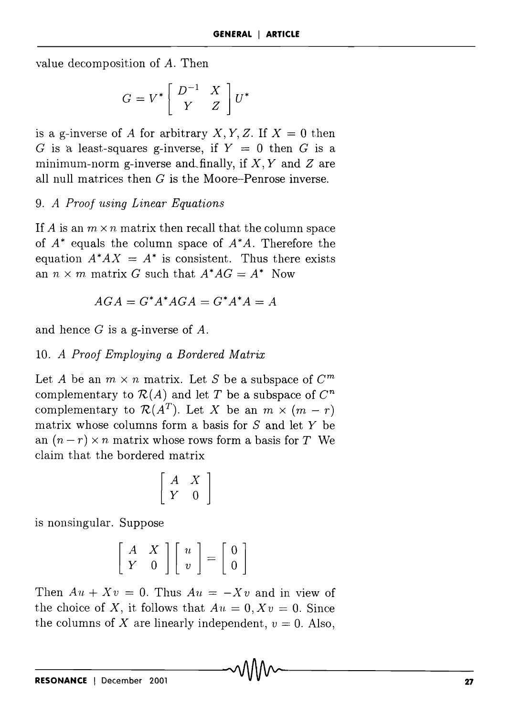value decomposition of *A.* Then

$$
G=V^*\left[\begin{array}{cc}D^{-1}&X\\Y&Z\end{array}\right]U^*
$$

is a g-inverse of *A* for arbitrary *X*, *Y*, *Z*. If  $X = 0$  then G is a least-squares g-inverse, if  $Y = 0$  then G is a minimum-norm g-inverse and finally, if  $X, Y$  and  $Z$  are all null matrices then  $G$  is the Moore-Penrose inverse.

### *9. A Proof using Linear Equations*

If A is an  $m \times n$  matrix then recall that the column space of  $A^*$  equals the column space of  $A^*A$ . Therefore the equation  $A^*AX = A^*$  is consistent. Thus there exists an  $n \times m$  matrix G such that  $A^*AG = A^*$  Now

$$
AGA = G^*A^*AGA = G^*A^*A = A
$$

and hence G is a g-inverse of *A.* 

## *10. A Proof Employing a Bordered Matrix*

Let *A* be an  $m \times n$  matrix. Let *S* be a subspace of  $C^m$ complementary to  $\mathcal{R}(A)$  and let T be a subspace of  $\mathbb{C}^n$ complementary to  $\mathcal{R}(A^T)$ . Let X be an  $m \times (m-r)$ matrix whose columns form a basis for  $S$  and let  $Y$  be an  $(n-r) \times n$  matrix whose rows form a basis for T We claim that the bordered matrix

$$
\left[\begin{array}{ccc}A&X\\Y&0\end{array}\right]
$$

is nonsingular. Suppose

$$
\left[\begin{array}{cc} A & X \\ Y & 0 \end{array}\right] \left[\begin{array}{c} u \\ v \end{array}\right] = \left[\begin{array}{c} 0 \\ 0 \end{array}\right]
$$

Then  $Au + Xv = 0$ . Thus  $Au = -Xv$  and in view of the choice of X, it follows that  $Au = 0, Xv = 0$ . Since the columns of X are linearly independent,  $v = 0$ . Also,